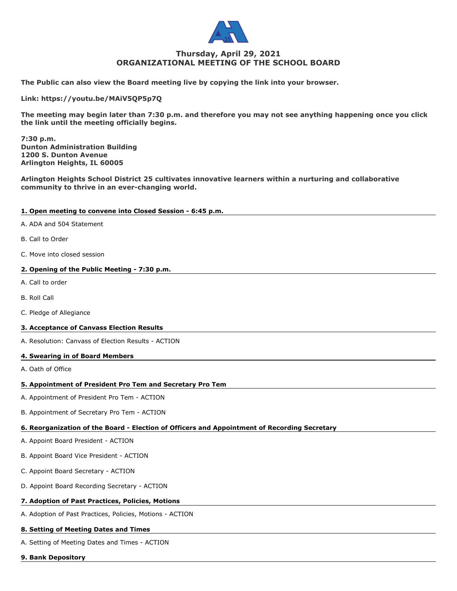

## **Thursday, April 29, 2021 ORGANIZATIONAL MEETING OF THE SCHOOL BOARD**

**The Public can also view the Board meeting live by copying the link into your browser.**

**Link: https://youtu.be/MAiV5QP5p7Q**

**The meeting may begin later than 7:30 p.m. and therefore you may not see anything happening once you click the link until the meeting officially begins.**

**7:30 p.m. Dunton Administration Building 1200 S. Dunton Avenue Arlington Heights, IL 60005**

**Arlington Heights School District 25 cultivates innovative learners within a nurturing and collaborative community to thrive in an ever-changing world.**

### **1. Open meeting to convene into Closed Session - 6:45 p.m.**

- A. ADA and 504 Statement
- B. Call to Order
- C. Move into closed session

### **2. Opening of the Public Meeting - 7:30 p.m.**

- A. Call to order
- B. Roll Call
- C. Pledge of Allegiance

### **3. Acceptance of Canvass Election Results**

A. Resolution: Canvass of Election Results - ACTION

### **4. Swearing in of Board Members**

A. Oath of Office

### **5. Appointment of President Pro Tem and Secretary Pro Tem**

- A. Appointment of President Pro Tem ACTION
- B. Appointment of Secretary Pro Tem ACTION

# **6. Reorganization of the Board - Election of Officers and Appointment of Recording Secretary**

- A. Appoint Board President ACTION
- B. Appoint Board Vice President ACTION
- C. Appoint Board Secretary ACTION
- D. Appoint Board Recording Secretary ACTION

# **7. Adoption of Past Practices, Policies, Motions**

A. Adoption of Past Practices, Policies, Motions - ACTION

### **8. Setting of Meeting Dates and Times**

A. Setting of Meeting Dates and Times - ACTION

### **9. Bank Depository**